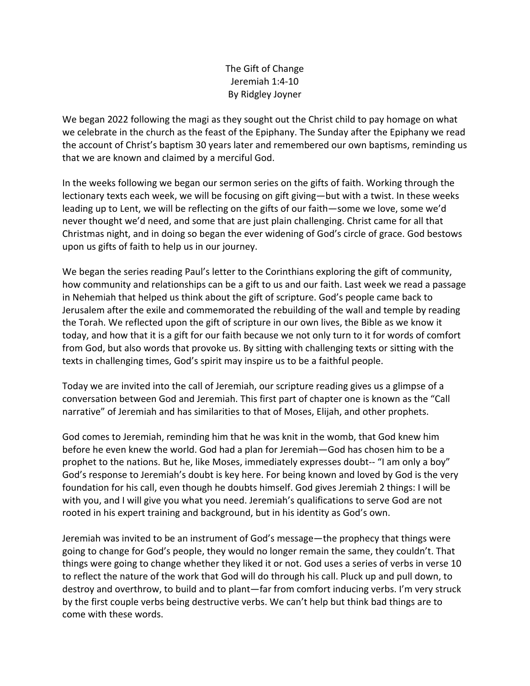## The Gift of Change Jeremiah 1:4‐10 By Ridgley Joyner

We began 2022 following the magi as they sought out the Christ child to pay homage on what we celebrate in the church as the feast of the Epiphany. The Sunday after the Epiphany we read the account of Christ's baptism 30 years later and remembered our own baptisms, reminding us that we are known and claimed by a merciful God.

In the weeks following we began our sermon series on the gifts of faith. Working through the lectionary texts each week, we will be focusing on gift giving—but with a twist. In these weeks leading up to Lent, we will be reflecting on the gifts of our faith—some we love, some we'd never thought we'd need, and some that are just plain challenging. Christ came for all that Christmas night, and in doing so began the ever widening of God's circle of grace. God bestows upon us gifts of faith to help us in our journey.

We began the series reading Paul's letter to the Corinthians exploring the gift of community, how community and relationships can be a gift to us and our faith. Last week we read a passage in Nehemiah that helped us think about the gift of scripture. God's people came back to Jerusalem after the exile and commemorated the rebuilding of the wall and temple by reading the Torah. We reflected upon the gift of scripture in our own lives, the Bible as we know it today, and how that it is a gift for our faith because we not only turn to it for words of comfort from God, but also words that provoke us. By sitting with challenging texts or sitting with the texts in challenging times, God's spirit may inspire us to be a faithful people.

Today we are invited into the call of Jeremiah, our scripture reading gives us a glimpse of a conversation between God and Jeremiah. This first part of chapter one is known as the "Call narrative" of Jeremiah and has similarities to that of Moses, Elijah, and other prophets.

God comes to Jeremiah, reminding him that he was knit in the womb, that God knew him before he even knew the world. God had a plan for Jeremiah—God has chosen him to be a prophet to the nations. But he, like Moses, immediately expresses doubt-- "I am only a boy" God's response to Jeremiah's doubt is key here. For being known and loved by God is the very foundation for his call, even though he doubts himself. God gives Jeremiah 2 things: I will be with you, and I will give you what you need. Jeremiah's qualifications to serve God are not rooted in his expert training and background, but in his identity as God's own.

Jeremiah was invited to be an instrument of God's message—the prophecy that things were going to change for God's people, they would no longer remain the same, they couldn't. That things were going to change whether they liked it or not. God uses a series of verbs in verse 10 to reflect the nature of the work that God will do through his call. Pluck up and pull down, to destroy and overthrow, to build and to plant—far from comfort inducing verbs. I'm very struck by the first couple verbs being destructive verbs. We can't help but think bad things are to come with these words.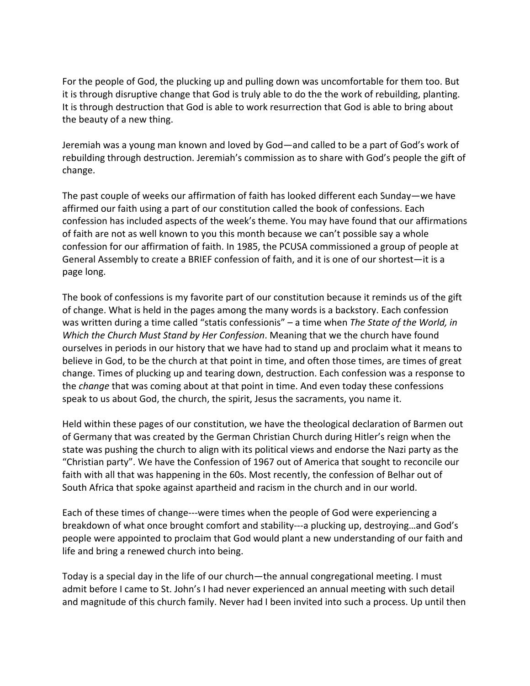For the people of God, the plucking up and pulling down was uncomfortable for them too. But it is through disruptive change that God is truly able to do the the work of rebuilding, planting. It is through destruction that God is able to work resurrection that God is able to bring about the beauty of a new thing.

Jeremiah was a young man known and loved by God—and called to be a part of God's work of rebuilding through destruction. Jeremiah's commission as to share with God's people the gift of change.

The past couple of weeks our affirmation of faith has looked different each Sunday—we have affirmed our faith using a part of our constitution called the book of confessions. Each confession has included aspects of the week's theme. You may have found that our affirmations of faith are not as well known to you this month because we can't possible say a whole confession for our affirmation of faith. In 1985, the PCUSA commissioned a group of people at General Assembly to create a BRIEF confession of faith, and it is one of our shortest—it is a page long.

The book of confessions is my favorite part of our constitution because it reminds us of the gift of change. What is held in the pages among the many words is a backstory. Each confession was written during a time called "statis confessionis" – a time when *The State of the World, in Which the Church Must Stand by Her Confession*. Meaning that we the church have found ourselves in periods in our history that we have had to stand up and proclaim what it means to believe in God, to be the church at that point in time, and often those times, are times of great change. Times of plucking up and tearing down, destruction. Each confession was a response to the *change* that was coming about at that point in time. And even today these confessions speak to us about God, the church, the spirit, Jesus the sacraments, you name it.

Held within these pages of our constitution, we have the theological declaration of Barmen out of Germany that was created by the German Christian Church during Hitler's reign when the state was pushing the church to align with its political views and endorse the Nazi party as the "Christian party". We have the Confession of 1967 out of America that sought to reconcile our faith with all that was happening in the 60s. Most recently, the confession of Belhar out of South Africa that spoke against apartheid and racism in the church and in our world.

Each of these times of change‐‐‐were times when the people of God were experiencing a breakdown of what once brought comfort and stability‐‐‐a plucking up, destroying…and God's people were appointed to proclaim that God would plant a new understanding of our faith and life and bring a renewed church into being.

Today is a special day in the life of our church—the annual congregational meeting. I must admit before I came to St. John's I had never experienced an annual meeting with such detail and magnitude of this church family. Never had I been invited into such a process. Up until then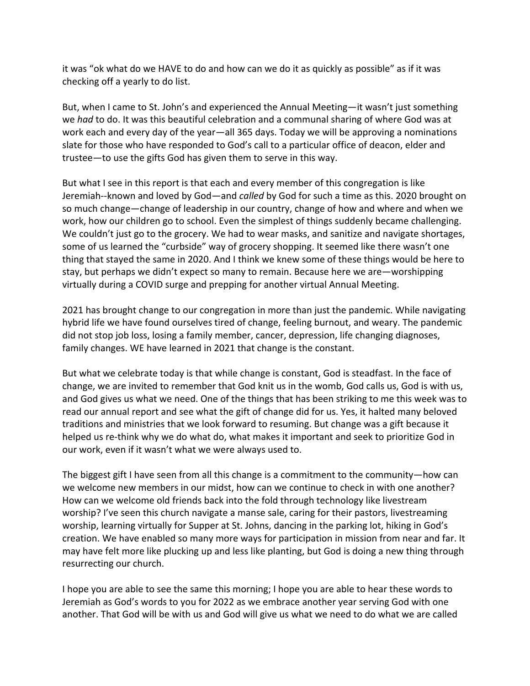it was "ok what do we HAVE to do and how can we do it as quickly as possible" as if it was checking off a yearly to do list.

But, when I came to St. John's and experienced the Annual Meeting—it wasn't just something we *had* to do. It was this beautiful celebration and a communal sharing of where God was at work each and every day of the year—all 365 days. Today we will be approving a nominations slate for those who have responded to God's call to a particular office of deacon, elder and trustee—to use the gifts God has given them to serve in this way.

But what I see in this report is that each and every member of this congregation is like Jeremiah‐‐known and loved by God—and *called* by God for such a time as this. 2020 brought on so much change—change of leadership in our country, change of how and where and when we work, how our children go to school. Even the simplest of things suddenly became challenging. We couldn't just go to the grocery. We had to wear masks, and sanitize and navigate shortages, some of us learned the "curbside" way of grocery shopping. It seemed like there wasn't one thing that stayed the same in 2020. And I think we knew some of these things would be here to stay, but perhaps we didn't expect so many to remain. Because here we are—worshipping virtually during a COVID surge and prepping for another virtual Annual Meeting.

2021 has brought change to our congregation in more than just the pandemic. While navigating hybrid life we have found ourselves tired of change, feeling burnout, and weary. The pandemic did not stop job loss, losing a family member, cancer, depression, life changing diagnoses, family changes. WE have learned in 2021 that change is the constant.

But what we celebrate today is that while change is constant, God is steadfast. In the face of change, we are invited to remember that God knit us in the womb, God calls us, God is with us, and God gives us what we need. One of the things that has been striking to me this week was to read our annual report and see what the gift of change did for us. Yes, it halted many beloved traditions and ministries that we look forward to resuming. But change was a gift because it helped us re‐think why we do what do, what makes it important and seek to prioritize God in our work, even if it wasn't what we were always used to.

The biggest gift I have seen from all this change is a commitment to the community—how can we welcome new members in our midst, how can we continue to check in with one another? How can we welcome old friends back into the fold through technology like livestream worship? I've seen this church navigate a manse sale, caring for their pastors, livestreaming worship, learning virtually for Supper at St. Johns, dancing in the parking lot, hiking in God's creation. We have enabled so many more ways for participation in mission from near and far. It may have felt more like plucking up and less like planting, but God is doing a new thing through resurrecting our church.

I hope you are able to see the same this morning; I hope you are able to hear these words to Jeremiah as God's words to you for 2022 as we embrace another year serving God with one another. That God will be with us and God will give us what we need to do what we are called